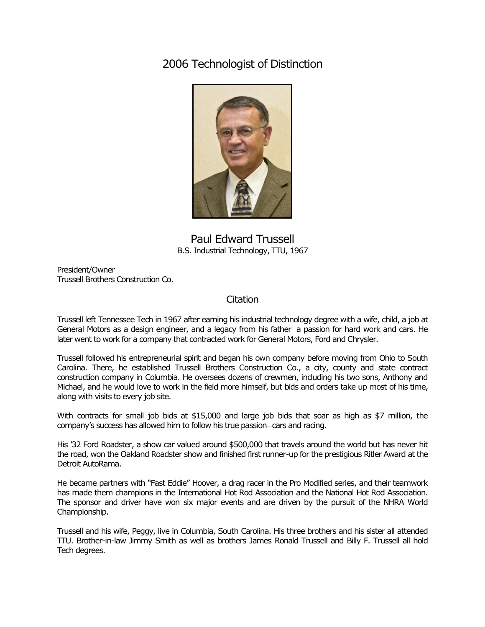2006 Technologist of Distinction



Paul Edward Trussell B.S. Industrial Technology, TTU, 1967

President/Owner Trussell Brothers Construction Co.

## Citation

Trussell left Tennessee Tech in 1967 after earning his industrial technology degree with a wife, child, a job at General Motors as a design engineer, and a legacy from his father―a passion for hard work and cars. He later went to work for a company that contracted work for General Motors, Ford and Chrysler.

Trussell followed his entrepreneurial spirit and began his own company before moving from Ohio to South Carolina. There, he established Trussell Brothers Construction Co., a city, county and state contract construction company in Columbia. He oversees dozens of crewmen, including his two sons, Anthony and Michael, and he would love to work in the field more himself, but bids and orders take up most of his time, along with visits to every job site.

With contracts for small job bids at \$15,000 and large job bids that soar as high as \$7 million, the company's success has allowed him to follow his true passion―cars and racing.

His '32 Ford Roadster, a show car valued around \$500,000 that travels around the world but has never hit the road, won the Oakland Roadster show and finished first runner-up for the prestigious Ritler Award at the Detroit AutoRama.

He became partners with "Fast Eddie" Hoover, a drag racer in the Pro Modified series, and their teamwork has made them champions in the International Hot Rod Association and the National Hot Rod Association. The sponsor and driver have won six major events and are driven by the pursuit of the NHRA World Championship.

Trussell and his wife, Peggy, live in Columbia, South Carolina. His three brothers and his sister all attended TTU. Brother-in-law Jimmy Smith as well as brothers James Ronald Trussell and Billy F. Trussell all hold Tech degrees.